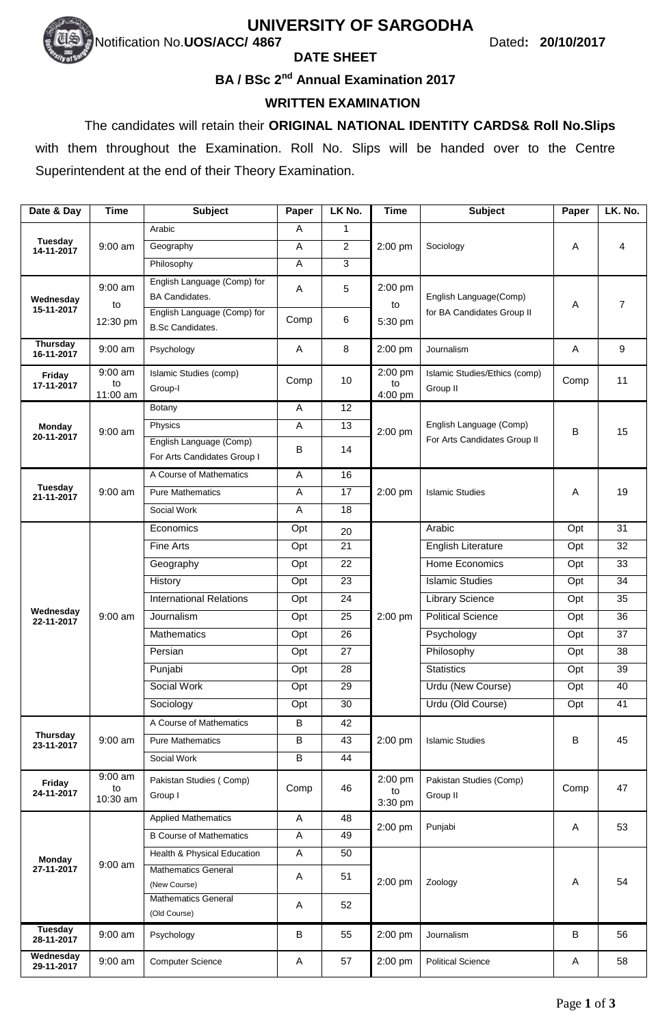# **UNIVERSITY OF SARGODHA**

# Notification No.**UOS/ACC/ 4867** Dated**: 20/10/2017**

#### **DATE SHEET**

#### **BA / BSc 2 nd Annual Examination 2017**

### **WRITTEN EXAMINATION**

 The candidates will retain their **ORIGINAL NATIONAL IDENTITY CARDS& Roll No.Slips**  with them throughout the Examination. Roll No. Slips will be handed over to the Centre Superintendent at the end of their Theory Examination.

| Date & Day                    | <b>Time</b>                 | <b>Subject</b>                                                                      | Paper        | LK No.         | <b>Time</b>              | <b>Subject</b>                                          | Paper | LK. No.         |
|-------------------------------|-----------------------------|-------------------------------------------------------------------------------------|--------------|----------------|--------------------------|---------------------------------------------------------|-------|-----------------|
| Tuesday<br>14-11-2017         |                             | Arabic                                                                              | A            | $\mathbf{1}$   |                          |                                                         | Α     | 4               |
|                               | $9:00$ am                   | Geography                                                                           | Α            | $\overline{2}$ | 2:00 pm                  | Sociology                                               |       |                 |
|                               |                             | Philosophy                                                                          | A            | 3              |                          |                                                         |       |                 |
| Wednesday<br>15-11-2017       | $9:00$ am<br>to             | English Language (Comp) for<br><b>BA Candidates.</b><br>English Language (Comp) for | A            | 5              | 2:00 pm<br>to            | English Language(Comp)<br>for BA Candidates Group II    | Α     | $\overline{7}$  |
|                               | 12:30 pm                    | <b>B.Sc Candidates.</b>                                                             | Comp         | 6              | 5:30 pm                  |                                                         |       |                 |
| Thursday<br>16-11-2017        | $9:00$ am                   | Psychology                                                                          | A            | 8              | 2:00 pm                  | Journalism                                              | Α     | 9               |
| Friday<br>17-11-2017          | 9:00 am<br>to<br>11:00 am   | Islamic Studies (comp)<br>Group-I                                                   | Comp         | 10             | 2:00 pm<br>to<br>4:00 pm | Islamic Studies/Ethics (comp)<br>Group II               | Comp  | 11              |
|                               |                             | Botany                                                                              | A            | 12             |                          | English Language (Comp)<br>For Arts Candidates Group II | В     | 15              |
| <b>Monday</b>                 | $9:00$ am                   | Physics                                                                             | A            | 13             | 2:00 pm                  |                                                         |       |                 |
| 20-11-2017                    |                             | English Language (Comp)<br>For Arts Candidates Group I                              | В            | 14             |                          |                                                         |       |                 |
|                               |                             | A Course of Mathematics                                                             | Α            | 16             |                          |                                                         | A     | 19              |
| Tuesday<br>21-11-2017         | $9:00$ am                   | <b>Pure Mathematics</b>                                                             | A            | 17             | $2:00$ pm                | <b>Islamic Studies</b>                                  |       |                 |
|                               |                             | Social Work                                                                         | A            | 18             |                          |                                                         |       |                 |
|                               |                             | Economics                                                                           | Opt          | 20             |                          | Arabic                                                  | Opt   | 31              |
|                               |                             | <b>Fine Arts</b>                                                                    | Opt          | 21             |                          | <b>English Literature</b>                               | Opt   | 32              |
|                               |                             | Geography                                                                           | Opt          | 22             |                          | Home Economics                                          | Opt   | $\overline{33}$ |
|                               |                             | History                                                                             | Opt          | 23             |                          | <b>Islamic Studies</b>                                  | Opt   | 34              |
|                               |                             | <b>International Relations</b>                                                      | Opt          | 24             |                          | <b>Library Science</b>                                  | Opt   | 35              |
| Wednesday<br>22-11-2017       | 9:00 am                     | Journalism                                                                          | Opt          | 25             | 2:00 pm                  | <b>Political Science</b>                                | Opt   | $\overline{36}$ |
|                               |                             | Mathematics                                                                         | Opt          | 26             |                          | Psychology                                              | Opt   | 37              |
|                               |                             | Persian                                                                             | Opt          | 27             |                          | Philosophy                                              | Opt   | 38              |
|                               |                             | Punjabi                                                                             | Opt          | 28             |                          | <b>Statistics</b>                                       | Opt   | 39              |
|                               |                             | Social Work                                                                         | Opt          | 29             |                          | Urdu (New Course)                                       | Opt   | 40              |
|                               |                             | Sociology                                                                           | Opt          | 30             |                          | Urdu (Old Course)                                       | Opt   | 41              |
|                               | $9:00$ am                   | A Course of Mathematics                                                             | B            | 42             |                          |                                                         | B     | 45              |
| <b>Thursday</b><br>23-11-2017 |                             | <b>Pure Mathematics</b>                                                             | B            | 43             | 2:00 pm                  | <b>Islamic Studies</b>                                  |       |                 |
|                               |                             | Social Work                                                                         | В            | 44             |                          |                                                         |       |                 |
| Friday<br>24-11-2017          | $9:00$ am<br>to<br>10:30 am | Pakistan Studies (Comp)<br>Group I                                                  | Comp         | 46             | 2:00 pm<br>to<br>3:30 pm | Pakistan Studies (Comp)<br>Group II                     | Comp  | 47              |
|                               | $9:00$ am                   | <b>Applied Mathematics</b>                                                          | $\mathsf{A}$ | 48             | 2:00 pm                  | Punjabi                                                 | Α     | 53              |
| <b>Monday</b><br>27-11-2017   |                             | <b>B Course of Mathematics</b>                                                      | A            | 49             |                          |                                                         |       |                 |
|                               |                             | Health & Physical Education                                                         | A            | 50             |                          |                                                         |       |                 |
|                               |                             | <b>Mathematics General</b><br>(New Course)                                          | Α            | 51             | 2:00 pm                  | Zoology                                                 | Α     | 54              |
|                               |                             | <b>Mathematics General</b><br>(Old Course)                                          | Α            | 52             |                          |                                                         |       |                 |
| Tuesday<br>28-11-2017         | $9:00$ am                   | Psychology                                                                          | в            | 55             | 2:00 pm                  | Journalism                                              | B     | 56              |
| Wednesday<br>29-11-2017       | 9:00 am                     | <b>Computer Science</b>                                                             | A            | 57             | 2:00 pm                  | <b>Political Science</b>                                | Α     | 58              |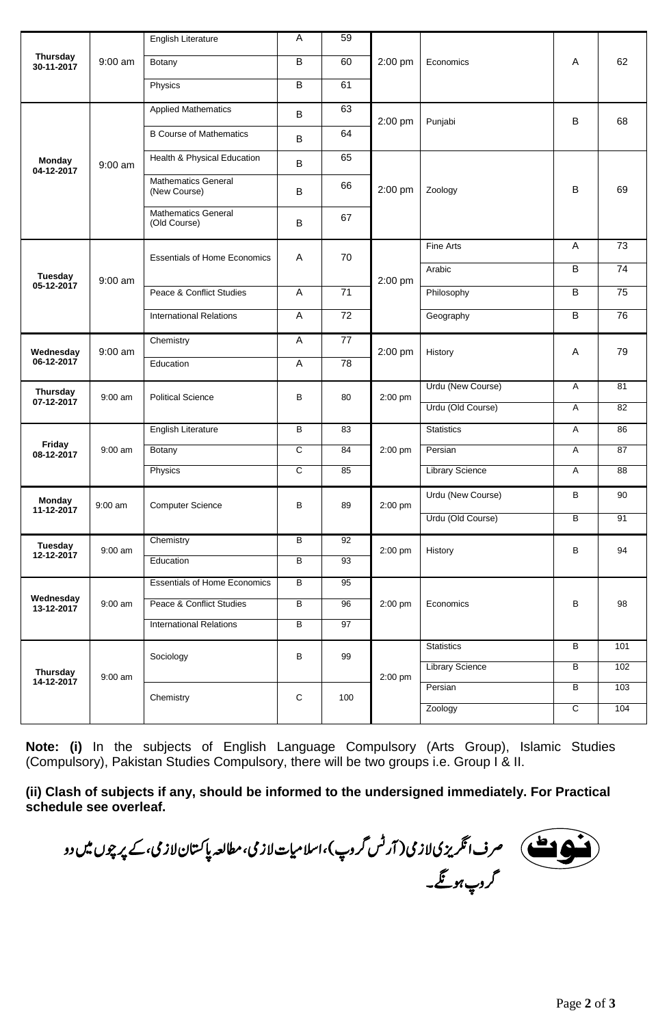| <b>Thursday</b><br>30-11-2017 | $9:00$ am | <b>English Literature</b>                  | Α              | 59              | 2:00 pm   |                        |                |                 |
|-------------------------------|-----------|--------------------------------------------|----------------|-----------------|-----------|------------------------|----------------|-----------------|
|                               |           | Botany                                     | B              | 60              |           | Economics              | A              | 62              |
|                               |           | Physics                                    | В              | 61              |           |                        |                |                 |
| <b>Monday</b><br>04-12-2017   | $9:00$ am | <b>Applied Mathematics</b>                 | В              | 63              | 2:00 pm   | Punjabi                | B              | 68              |
|                               |           | <b>B Course of Mathematics</b>             | В              | 64              |           |                        |                |                 |
|                               |           | Health & Physical Education                | В              | 65              | 2:00 pm   |                        |                |                 |
|                               |           | <b>Mathematics General</b><br>(New Course) | B              | 66              |           | Zoology                | B              | 69              |
|                               |           | <b>Mathematics General</b><br>(Old Course) | В              | 67              |           |                        |                |                 |
|                               |           | <b>Essentials of Home Economics</b>        | A              | 70              | 2:00 pm   | Fine Arts              | A              | 73              |
| Tuesday                       |           |                                            |                |                 |           | Arabic                 | B              | $\overline{74}$ |
| 05-12-2017                    | $9:00$ am | Peace & Conflict Studies                   | A              | 71              |           | Philosophy             | $\overline{B}$ | $\overline{75}$ |
|                               |           | <b>International Relations</b>             | A              | $\overline{72}$ |           | Geography              | B              | $\overline{76}$ |
| Wednesday                     | $9:00$ am | Chemistry                                  | A              | 77              | 2:00 pm   | History                | Α              | 79              |
| 06-12-2017                    |           | Education                                  | A              | $\overline{78}$ |           |                        |                |                 |
| <b>Thursday</b>               | $9:00$ am | <b>Political Science</b>                   | В              | 80              | 2:00 pm   | Urdu (New Course)      | Α              | 81              |
| 07-12-2017                    |           |                                            |                |                 |           | Urdu (Old Course)      | Α              | 82              |
|                               | $9:00$ am | <b>English Literature</b>                  | В              | 83              | 2:00 pm   | <b>Statistics</b>      | Α              | 86              |
| Friday<br>08-12-2017          |           | Botany                                     | C              | 84              |           | Persian                | Α              | 87              |
|                               |           | Physics                                    | C              | 85              |           | <b>Library Science</b> | Α              | 88              |
| <b>Monday</b><br>11-12-2017   | $9:00$ am | <b>Computer Science</b>                    | В              | 89              | $2:00$ pm | Urdu (New Course)      | B              | 90              |
|                               |           |                                            |                |                 |           | Urdu (Old Course)      | В              | 91              |
| Tuesday<br>12-12-2017         | 9:00 am   | Chemistry                                  | $\overline{B}$ | 92              | 2:00 pm   | History                | В              | 94              |
|                               |           | Education                                  | $\overline{B}$ | 93              |           |                        |                |                 |
| Wednesday<br>13-12-2017       | 9:00 am   | <b>Essentials of Home Economics</b>        | $\overline{B}$ | 95              | 2:00 pm   |                        |                |                 |
|                               |           | Peace & Conflict Studies                   | $\overline{B}$ | 96              |           | Economics              | В              | 98              |
|                               |           | <b>International Relations</b>             | $\overline{B}$ | 97              |           |                        |                |                 |
| <b>Thursday</b><br>14-12-2017 | $9:00$ am | Sociology                                  | B              | 99              | 2:00 pm   | <b>Statistics</b>      | $\overline{B}$ | 101             |
|                               |           |                                            |                |                 |           | <b>Library Science</b> | B              | 102             |
|                               |           | Chemistry                                  | $\mathbf C$    | 100             |           | Persian                | В              | 103             |
|                               |           |                                            |                |                 |           | Zoology                | $\overline{c}$ | 104             |

**Note: (i)** In the subjects of English Language Compulsory (Arts Group), Islamic Studies (Compulsory), Pakistan Studies Compulsory, there will be two groups i.e. Group I & II.

**(ii) Clash of subjects if any, should be informed to the undersigned immediately. For Practical schedule see overleaf.**

صرف انگریزی لازی ( آرٹس کروپ )، اسلامیات لازی، مطالعہ پاکستان لازی، کے پر چوں میں دو کروپ ہونگے۔